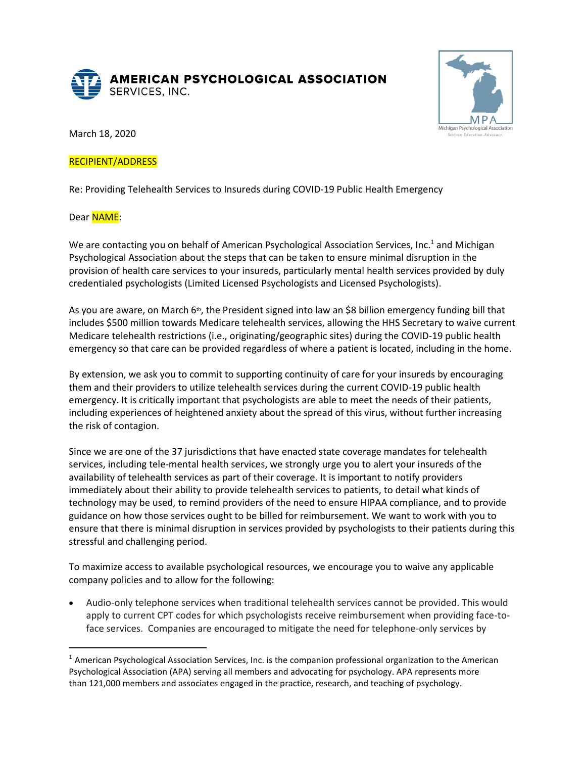



March 18, 2020

## RECIPIENT/ADDRESS

Re: Providing Telehealth Services to Insureds during COVID-19 Public Health Emergency

Dear **NAME:** 

We are contacting you on behalf of American Psychological Association Services, Inc.<sup>1</sup> and Michigan Psychological Association about the steps that can be taken to ensure minimal disruption in the provision of health care services to your insureds, particularly mental health services provided by duly credentialed psychologists (Limited Licensed Psychologists and Licensed Psychologists).

As you are aware, on March 6<sup>th</sup>, the President signed into law an \$8 billion emergency funding bill that includes \$500 million towards Medicare telehealth services, allowing the HHS Secretary to waive current Medicare telehealth restrictions (i.e., originating/geographic sites) during the COVID-19 public health emergency so that care can be provided regardless of where a patient is located, including in the home.

By extension, we ask you to commit to supporting continuity of care for your insureds by encouraging them and their providers to utilize telehealth services during the current COVID-19 public health emergency. It is critically important that psychologists are able to meet the needs of their patients, including experiences of heightened anxiety about the spread of this virus, without further increasing the risk of contagion.

Since we are one of the 37 jurisdictions that have enacted state coverage mandates for telehealth services, including tele-mental health services, we strongly urge you to alert your insureds of the availability of telehealth services as part of their coverage. It is important to notify providers immediately about their ability to provide telehealth services to patients, to detail what kinds of technology may be used, to remind providers of the need to ensure HIPAA compliance, and to provide guidance on how those services ought to be billed for reimbursement. We want to work with you to ensure that there is minimal disruption in services provided by psychologists to their patients during this stressful and challenging period.

To maximize access to available psychological resources, we encourage you to waive any applicable company policies and to allow for the following:

• Audio-only telephone services when traditional telehealth services cannot be provided. This would apply to current CPT codes for which psychologists receive reimbursement when providing face-toface services. Companies are encouraged to mitigate the need for telephone-only services by

 $1$  American Psychological Association Services, Inc. is the companion professional organization to the American Psychological Association (APA) serving all members and advocating for psychology. APA represents more than 121,000 members and associates engaged in the practice, research, and teaching of psychology.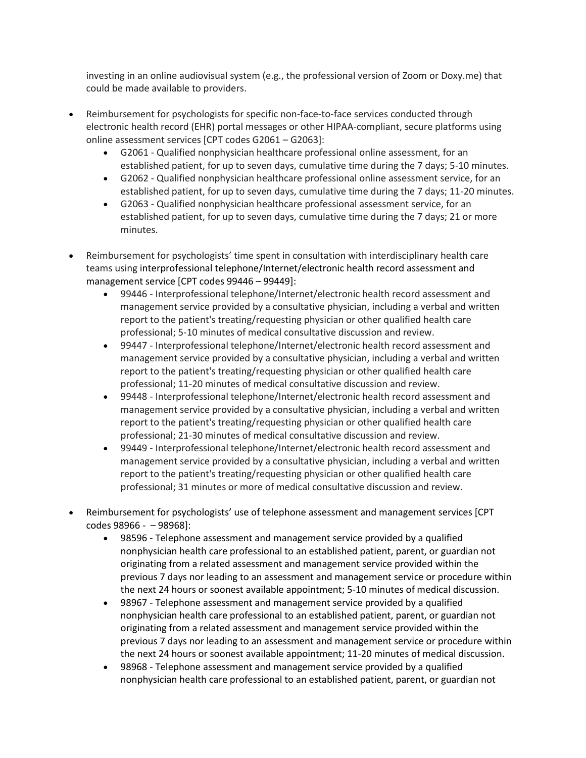investing in an online audiovisual system (e.g., the professional version of Zoom or Doxy.me) that could be made available to providers.

- Reimbursement for psychologists for specific non-face-to-face services conducted through electronic health record (EHR) portal messages or other HIPAA-compliant, secure platforms using online assessment services [CPT codes G2061 – G2063]:
	- G2061 Qualified nonphysician healthcare professional online assessment, for an established patient, for up to seven days, cumulative time during the 7 days; 5-10 minutes.
	- G2062 Qualified nonphysician healthcare professional online assessment service, for an established patient, for up to seven days, cumulative time during the 7 days; 11-20 minutes.
	- G2063 Qualified nonphysician healthcare professional assessment service, for an established patient, for up to seven days, cumulative time during the 7 days; 21 or more minutes.
- Reimbursement for psychologists' time spent in consultation with interdisciplinary health care teams using interprofessional telephone/Internet/electronic health record assessment and management service [CPT codes 99446 – 99449]:
	- 99446 Interprofessional telephone/Internet/electronic health record assessment and management service provided by a consultative physician, including a verbal and written report to the patient's treating/requesting physician or other qualified health care professional; 5-10 minutes of medical consultative discussion and review.
	- 99447 Interprofessional telephone/Internet/electronic health record assessment and management service provided by a consultative physician, including a verbal and written report to the patient's treating/requesting physician or other qualified health care professional; 11-20 minutes of medical consultative discussion and review.
	- 99448 Interprofessional telephone/Internet/electronic health record assessment and management service provided by a consultative physician, including a verbal and written report to the patient's treating/requesting physician or other qualified health care professional; 21-30 minutes of medical consultative discussion and review.
	- 99449 Interprofessional telephone/Internet/electronic health record assessment and management service provided by a consultative physician, including a verbal and written report to the patient's treating/requesting physician or other qualified health care professional; 31 minutes or more of medical consultative discussion and review.
- Reimbursement for psychologists' use of telephone assessment and management services [CPT codes 98966 - – 98968]:
	- 98596 Telephone assessment and management service provided by a qualified nonphysician health care professional to an established patient, parent, or guardian not originating from a related assessment and management service provided within the previous 7 days nor leading to an assessment and management service or procedure within the next 24 hours or soonest available appointment; 5-10 minutes of medical discussion.
	- 98967 Telephone assessment and management service provided by a qualified nonphysician health care professional to an established patient, parent, or guardian not originating from a related assessment and management service provided within the previous 7 days nor leading to an assessment and management service or procedure within the next 24 hours or soonest available appointment; 11-20 minutes of medical discussion.
	- 98968 Telephone assessment and management service provided by a qualified nonphysician health care professional to an established patient, parent, or guardian not